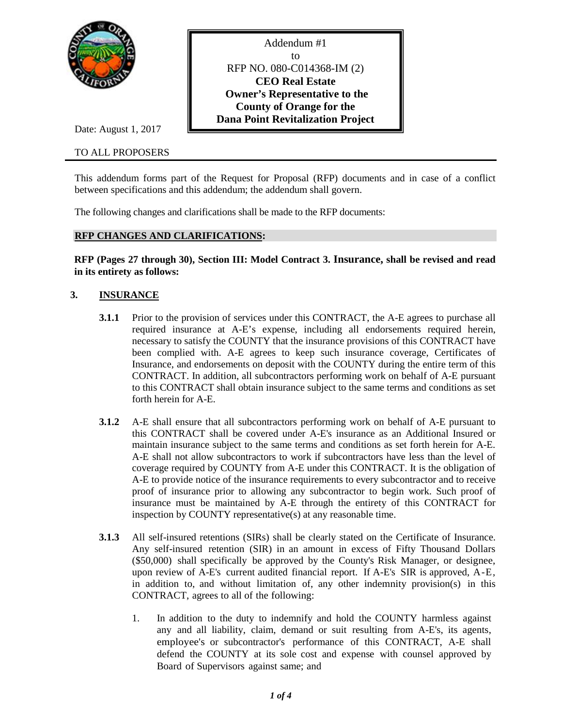

Date: August 1, 2017

### TO ALL PROPOSERS

Addendum #1 to RFP NO. 080-C014368-IM (2) **CEO Real Estate Owner's Representative to the County of Orange for the Dana Point Revitalization Project**

This addendum forms part of the Request for Proposal (RFP) documents and in case of a conflict between specifications and this addendum; the addendum shall govern.

The following changes and clarifications shall be made to the RFP documents:

#### **RFP CHANGES AND CLARIFICATIONS:**

**RFP (Pages 27 through 30), Section III: Model Contract 3. Insurance, shall be revised and read in its entirety as follows:**

# **3. INSURANCE**

- **3.1.1** Prior to the provision of services under this CONTRACT, the A-E agrees to purchase all required insurance at A-E's expense, including all endorsements required herein, necessary to satisfy the COUNTY that the insurance provisions of this CONTRACT have been complied with. A-E agrees to keep such insurance coverage, Certificates of Insurance, and endorsements on deposit with the COUNTY during the entire term of this CONTRACT. In addition, all subcontractors performing work on behalf of A-E pursuant to this CONTRACT shall obtain insurance subject to the same terms and conditions as set forth herein for A-E.
- **3.1.2** A-E shall ensure that all subcontractors performing work on behalf of A-E pursuant to this CONTRACT shall be covered under A-E's insurance as an Additional Insured or maintain insurance subject to the same terms and conditions as set forth herein for A-E. A-E shall not allow subcontractors to work if subcontractors have less than the level of coverage required by COUNTY from A-E under this CONTRACT. It is the obligation of A-E to provide notice of the insurance requirements to every subcontractor and to receive proof of insurance prior to allowing any subcontractor to begin work. Such proof of insurance must be maintained by A-E through the entirety of this CONTRACT for inspection by COUNTY representative(s) at any reasonable time.
- **3.1.3** All self-insured retentions (SIRs) shall be clearly stated on the Certificate of Insurance. Any self-insured retention (SIR) in an amount in excess of Fifty Thousand Dollars (\$50,000) shall specifically be approved by the County's Risk Manager, or designee, upon review of A-E's current audited financial report. If A-E's SIR is approved, A-E, in addition to, and without limitation of, any other indemnity provision(s) in this CONTRACT, agrees to all of the following:
	- 1. In addition to the duty to indemnify and hold the COUNTY harmless against any and all liability, claim, demand or suit resulting from A-E's, its agents, employee's or subcontractor's performance of this CONTRACT, A-E shall defend the COUNTY at its sole cost and expense with counsel approved by Board of Supervisors against same; and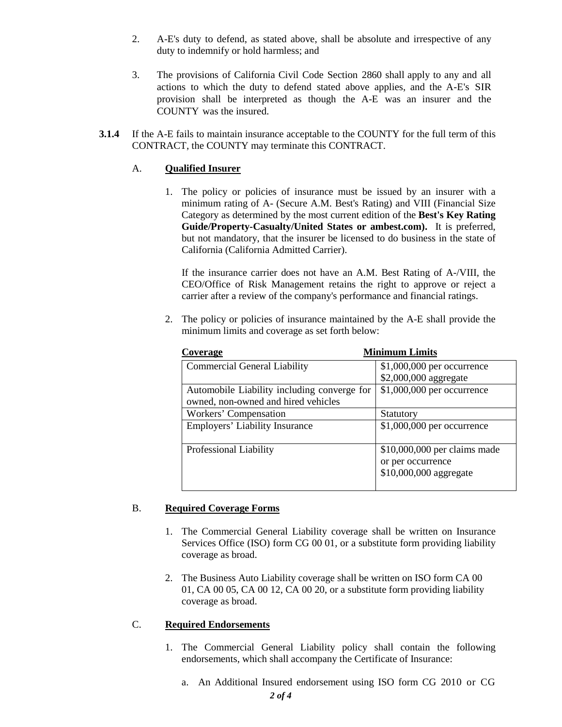- 2. A-E's duty to defend, as stated above, shall be absolute and irrespective of any duty to indemnify or hold harmless; and
- 3. The provisions of California Civil Code Section 2860 shall apply to any and all actions to which the duty to defend stated above applies, and the A-E's SIR provision shall be interpreted as though the A-E was an insurer and the COUNTY was the insured.
- **3.1.4** If the A-E fails to maintain insurance acceptable to the COUNTY for the full term of this CONTRACT, the COUNTY may terminate this CONTRACT.

# A. **Qualified Insurer**

1. The policy or policies of insurance must be issued by an insurer with a minimum rating of A- (Secure A.M. Best's Rating) and VIII (Financial Size Category as determined by the most current edition of the **Best's Key Rating Guide/Property-Casualty/United States or ambest.com).** It is preferred, but not mandatory, that the insurer be licensed to do business in the state of California (California Admitted Carrier).

If the insurance carrier does not have an A.M. Best Rating of A-/VIII, the CEO/Office of Risk Management retains the right to approve or reject a carrier after a review of the company's performance and financial ratings.

2. The policy or policies of insurance maintained by the A-E shall provide the minimum limits and coverage as set forth below:

| Coverage                                    | <b>Minimum Limits</b>        |  |
|---------------------------------------------|------------------------------|--|
| <b>Commercial General Liability</b>         | $$1,000,000$ per occurrence  |  |
|                                             | \$2,000,000 aggregate        |  |
| Automobile Liability including converge for | \$1,000,000 per occurrence   |  |
| owned, non-owned and hired vehicles         |                              |  |
| Workers' Compensation                       | Statutory                    |  |
| <b>Employers' Liability Insurance</b>       | \$1,000,000 per occurrence   |  |
|                                             |                              |  |
| Professional Liability                      | \$10,000,000 per claims made |  |
|                                             | or per occurrence            |  |
|                                             | \$10,000,000 aggregate       |  |
|                                             |                              |  |

# B. **Required Coverage Forms**

- 1. The Commercial General Liability coverage shall be written on Insurance Services Office (ISO) form CG 00 01, or a substitute form providing liability coverage as broad.
- 2. The Business Auto Liability coverage shall be written on ISO form CA 00 01, CA 00 05, CA 00 12, CA 00 20, or a substitute form providing liability coverage as broad.

# C. **Required Endorsements**

- 1. The Commercial General Liability policy shall contain the following endorsements, which shall accompany the Certificate of Insurance:
	- a. An Additional Insured endorsement using ISO form CG 2010 or CG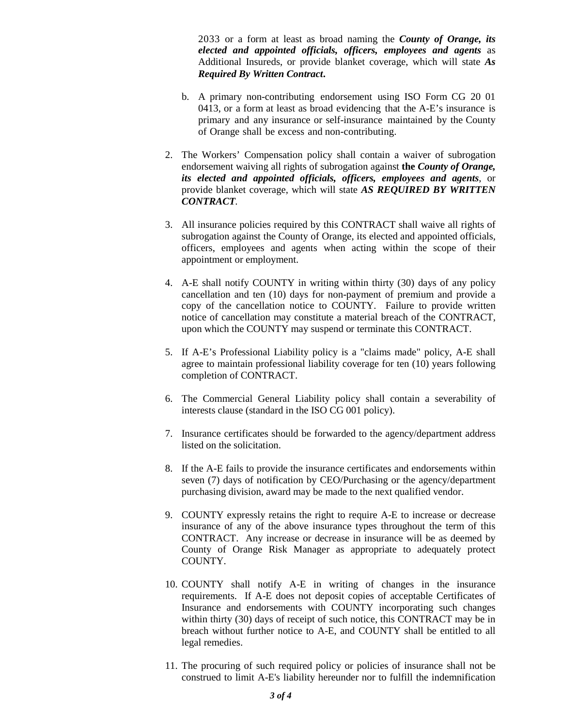2033 or a form at least as broad naming the *County of Orange, its elected and appointed officials, officers, employees and agents* as Additional Insureds, or provide blanket coverage, which will state *As Required By Written Contract***.**

- b. A primary non-contributing endorsement using ISO Form CG 20 01 0413, or a form at least as broad evidencing that the A-E's insurance is primary and any insurance or self-insurance maintained by the County of Orange shall be excess and non-contributing.
- 2. The Workers' Compensation policy shall contain a waiver of subrogation endorsement waiving all rights of subrogation against **the** *County of Orange, its elected and appointed officials, officers, employees and agents*, or provide blanket coverage, which will state *AS REQUIRED BY WRITTEN CONTRACT.*
- 3. All insurance policies required by this CONTRACT shall waive all rights of subrogation against the County of Orange, its elected and appointed officials, officers, employees and agents when acting within the scope of their appointment or employment.
- 4. A-E shall notify COUNTY in writing within thirty (30) days of any policy cancellation and ten (10) days for non-payment of premium and provide a copy of the cancellation notice to COUNTY. Failure to provide written notice of cancellation may constitute a material breach of the CONTRACT, upon which the COUNTY may suspend or terminate this CONTRACT.
- 5. If A-E's Professional Liability policy is a "claims made" policy, A-E shall agree to maintain professional liability coverage for ten (10) years following completion of CONTRACT.
- 6. The Commercial General Liability policy shall contain a severability of interests clause (standard in the ISO CG 001 policy).
- 7. Insurance certificates should be forwarded to the agency/department address listed on the solicitation.
- 8. If the A-E fails to provide the insurance certificates and endorsements within seven (7) days of notification by CEO/Purchasing or the agency/department purchasing division, award may be made to the next qualified vendor.
- 9. COUNTY expressly retains the right to require A-E to increase or decrease insurance of any of the above insurance types throughout the term of this CONTRACT. Any increase or decrease in insurance will be as deemed by County of Orange Risk Manager as appropriate to adequately protect COUNTY.
- 10. COUNTY shall notify A-E in writing of changes in the insurance requirements. If A-E does not deposit copies of acceptable Certificates of Insurance and endorsements with COUNTY incorporating such changes within thirty (30) days of receipt of such notice, this CONTRACT may be in breach without further notice to A-E, and COUNTY shall be entitled to all legal remedies.
- 11. The procuring of such required policy or policies of insurance shall not be construed to limit A-E's liability hereunder nor to fulfill the indemnification